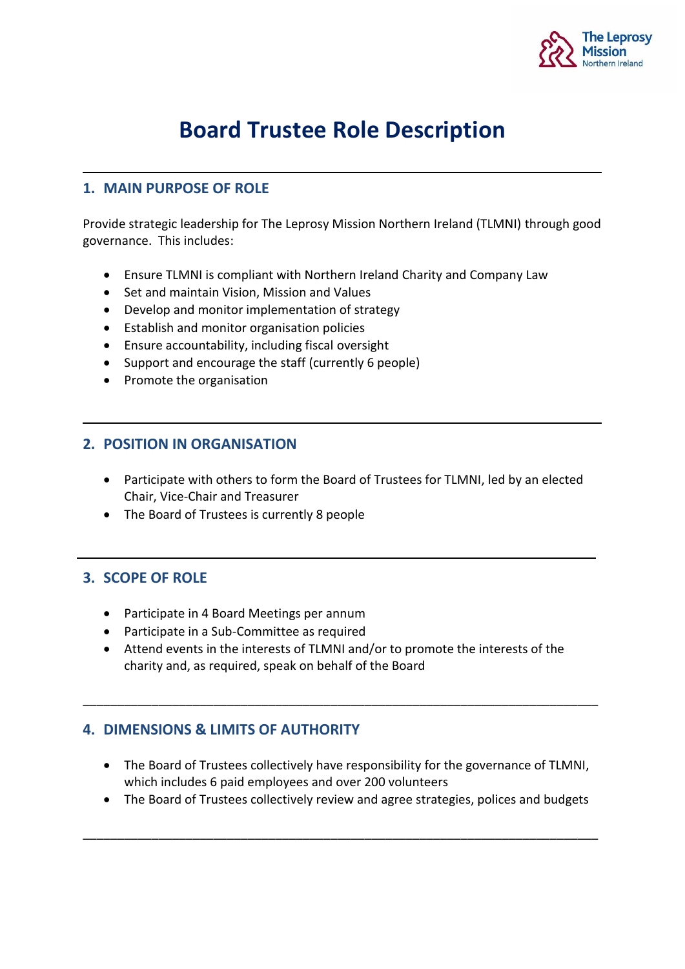

# **Board Trustee Role Description**

## **1. MAIN PURPOSE OF ROLE**

Provide strategic leadership for The Leprosy Mission Northern Ireland (TLMNI) through good governance. This includes:

- Ensure TLMNI is compliant with Northern Ireland Charity and Company Law
- Set and maintain Vision, Mission and Values
- Develop and monitor implementation of strategy
- Establish and monitor organisation policies
- Ensure accountability, including fiscal oversight
- Support and encourage the staff (currently 6 people)
- Promote the organisation

#### **2. POSITION IN ORGANISATION**

- Participate with others to form the Board of Trustees for TLMNI, led by an elected Chair, Vice-Chair and Treasurer
- The Board of Trustees is currently 8 people

### **3. SCOPE OF ROLE**

- Participate in 4 Board Meetings per annum
- Participate in a Sub-Committee as required
- Attend events in the interests of TLMNI and/or to promote the interests of the charity and, as required, speak on behalf of the Board

\_\_\_\_\_\_\_\_\_\_\_\_\_\_\_\_\_\_\_\_\_\_\_\_\_\_\_\_\_\_\_\_\_\_\_\_\_\_\_\_\_\_\_\_\_\_\_\_\_\_\_\_\_\_\_\_\_\_\_\_\_\_\_\_\_\_\_\_\_\_\_\_\_\_\_

### **4. DIMENSIONS & LIMITS OF AUTHORITY**

- The Board of Trustees collectively have responsibility for the governance of TLMNI, which includes 6 paid employees and over 200 volunteers
- The Board of Trustees collectively review and agree strategies, polices and budgets

\_\_\_\_\_\_\_\_\_\_\_\_\_\_\_\_\_\_\_\_\_\_\_\_\_\_\_\_\_\_\_\_\_\_\_\_\_\_\_\_\_\_\_\_\_\_\_\_\_\_\_\_\_\_\_\_\_\_\_\_\_\_\_\_\_\_\_\_\_\_\_\_\_\_\_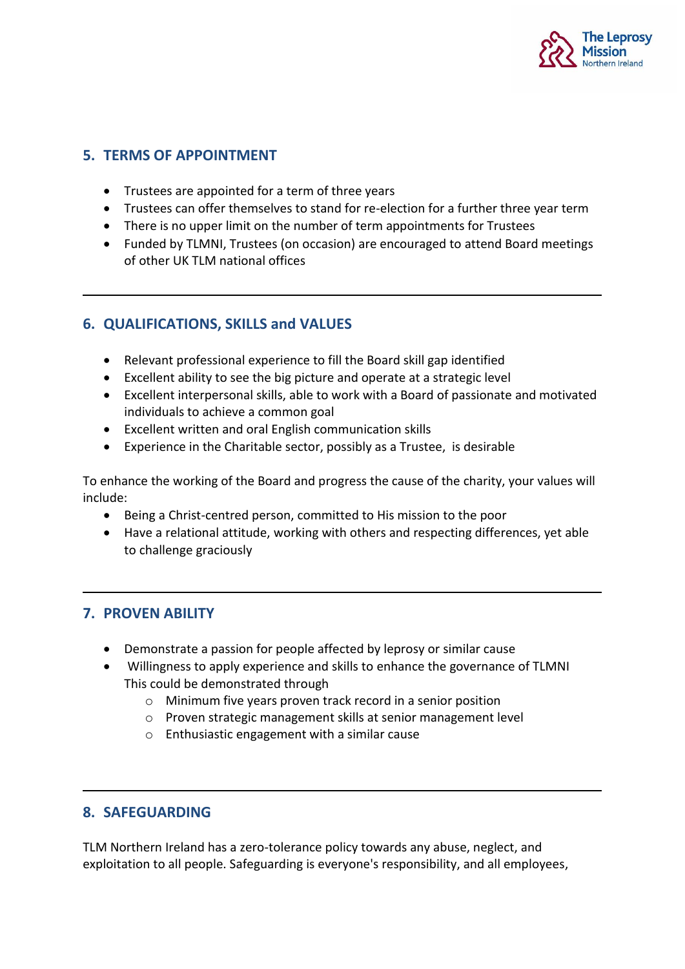

### **5. TERMS OF APPOINTMENT**

- Trustees are appointed for a term of three years
- Trustees can offer themselves to stand for re-election for a further three year term
- There is no upper limit on the number of term appointments for Trustees
- Funded by TLMNI, Trustees (on occasion) are encouraged to attend Board meetings of other UK TLM national offices

### **6. QUALIFICATIONS, SKILLS and VALUES**

- Relevant professional experience to fill the Board skill gap identified
- Excellent ability to see the big picture and operate at a strategic level
- Excellent interpersonal skills, able to work with a Board of passionate and motivated individuals to achieve a common goal
- Excellent written and oral English communication skills
- Experience in the Charitable sector, possibly as a Trustee, is desirable

To enhance the working of the Board and progress the cause of the charity, your values will include:

- Being a Christ-centred person, committed to His mission to the poor
- Have a relational attitude, working with others and respecting differences, yet able to challenge graciously

### **7. PROVEN ABILITY**

- Demonstrate a passion for people affected by leprosy or similar cause
- Willingness to apply experience and skills to enhance the governance of TLMNI This could be demonstrated through
	- o Minimum five years proven track record in a senior position
	- o Proven strategic management skills at senior management level
	- o Enthusiastic engagement with a similar cause

### **8. SAFEGUARDING**

TLM Northern Ireland has a zero-tolerance policy towards any abuse, neglect, and exploitation to all people. Safeguarding is everyone's responsibility, and all employees,